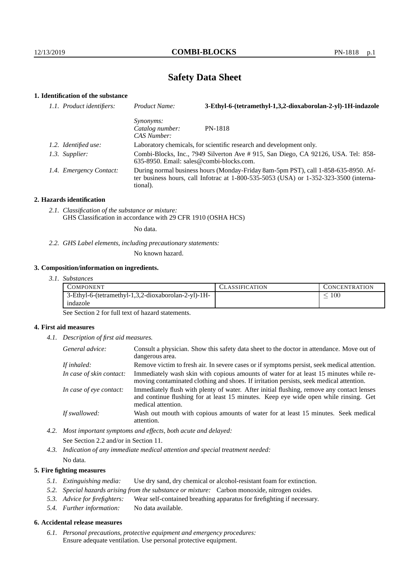# **Safety Data Sheet**

# **1. Identification of the substance**

| 1.1. Product identifiers: | Product Name:                                                                                                                                                                           | 3-Ethyl-6-(tetramethyl-1,3,2-dioxaborolan-2-yl)-1H-indazole |
|---------------------------|-----------------------------------------------------------------------------------------------------------------------------------------------------------------------------------------|-------------------------------------------------------------|
|                           | <i>Synonyms:</i><br>Catalog number:<br>CAS Number:                                                                                                                                      | PN-1818                                                     |
| 1.2. Identified use:      | Laboratory chemicals, for scientific research and development only.                                                                                                                     |                                                             |
| 1.3. Supplier:            | Combi-Blocks, Inc., 7949 Silverton Ave # 915, San Diego, CA 92126, USA. Tel: 858-<br>$635-8950$ . Email: sales@combi-blocks.com.                                                        |                                                             |
| 1.4. Emergency Contact:   | During normal business hours (Monday-Friday 8am-5pm PST), call 1-858-635-8950. Af-<br>ter business hours, call Infotrac at 1-800-535-5053 (USA) or 1-352-323-3500 (interna-<br>tional). |                                                             |

## **2. Hazards identification**

*2.1. Classification of the substance or mixture:* GHS Classification in accordance with 29 CFR 1910 (OSHA HCS)

No data.

*2.2. GHS Label elements, including precautionary statements:*

No known hazard.

## **3. Composition/information on ingredients.**

*3.1. Substances*

| COMPONENT                                           | LASSIFICATION | CONCENTRATION. |
|-----------------------------------------------------|---------------|----------------|
| 3-Ethyl-6-(tetramethyl-1,3,2-dioxaborolan-2-yl)-1H- |               | $100\,$        |
| indazole                                            |               |                |

See Section 2 for full text of hazard statements.

## **4. First aid measures**

*4.1. Description of first aid measures.*

| General advice:          | Consult a physician. Show this safety data sheet to the doctor in attendance. Move out of<br>dangerous area.                                                                                            |
|--------------------------|---------------------------------------------------------------------------------------------------------------------------------------------------------------------------------------------------------|
| If inhaled:              | Remove victim to fresh air. In severe cases or if symptoms persist, seek medical attention.                                                                                                             |
| In case of skin contact: | Immediately wash skin with copious amounts of water for at least 15 minutes while re-<br>moving contaminated clothing and shoes. If irritation persists, seek medical attention.                        |
| In case of eye contact:  | Immediately flush with plenty of water. After initial flushing, remove any contact lenses<br>and continue flushing for at least 15 minutes. Keep eye wide open while rinsing. Get<br>medical attention. |
| If swallowed:            | Wash out mouth with copious amounts of water for at least 15 minutes. Seek medical<br>attention.                                                                                                        |

*4.2. Most important symptoms and effects, both acute and delayed:* See Section 2.2 and/or in Section 11.

*4.3. Indication of any immediate medical attention and special treatment needed:* No data.

## **5. Fire fighting measures**

- *5.1. Extinguishing media:* Use dry sand, dry chemical or alcohol-resistant foam for extinction.
- *5.2. Special hazards arising from the substance or mixture:* Carbon monoxide, nitrogen oxides.
- *5.3. Advice for firefighters:* Wear self-contained breathing apparatus for firefighting if necessary.
- *5.4. Further information:* No data available.

## **6. Accidental release measures**

*6.1. Personal precautions, protective equipment and emergency procedures:* Ensure adequate ventilation. Use personal protective equipment.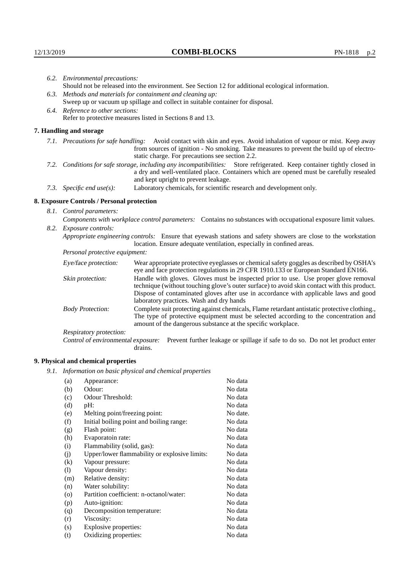|                                                                                                               | 6.2. Environmental precautions:                                                                                                                                                                                                                                    |                                                                                                                                                                                                                                                                                                                        |  |  |
|---------------------------------------------------------------------------------------------------------------|--------------------------------------------------------------------------------------------------------------------------------------------------------------------------------------------------------------------------------------------------------------------|------------------------------------------------------------------------------------------------------------------------------------------------------------------------------------------------------------------------------------------------------------------------------------------------------------------------|--|--|
|                                                                                                               | Should not be released into the environment. See Section 12 for additional ecological information.                                                                                                                                                                 |                                                                                                                                                                                                                                                                                                                        |  |  |
|                                                                                                               | 6.3. Methods and materials for containment and cleaning up:                                                                                                                                                                                                        |                                                                                                                                                                                                                                                                                                                        |  |  |
|                                                                                                               |                                                                                                                                                                                                                                                                    | Sweep up or vacuum up spillage and collect in suitable container for disposal.                                                                                                                                                                                                                                         |  |  |
|                                                                                                               | 6.4. Reference to other sections:                                                                                                                                                                                                                                  |                                                                                                                                                                                                                                                                                                                        |  |  |
|                                                                                                               |                                                                                                                                                                                                                                                                    | Refer to protective measures listed in Sections 8 and 13.                                                                                                                                                                                                                                                              |  |  |
|                                                                                                               | 7. Handling and storage                                                                                                                                                                                                                                            |                                                                                                                                                                                                                                                                                                                        |  |  |
|                                                                                                               | 7.1. Precautions for safe handling: Avoid contact with skin and eyes. Avoid inhalation of vapour or mist. Keep away<br>from sources of ignition - No smoking. Take measures to prevent the build up of electro-<br>static charge. For precautions see section 2.2. |                                                                                                                                                                                                                                                                                                                        |  |  |
|                                                                                                               | 7.2. Conditions for safe storage, including any incompatibilities: Store refrigerated. Keep container tightly closed in<br>a dry and well-ventilated place. Containers which are opened must be carefully resealed<br>and kept upright to prevent leakage.         |                                                                                                                                                                                                                                                                                                                        |  |  |
|                                                                                                               | 7.3. Specific end use(s):                                                                                                                                                                                                                                          | Laboratory chemicals, for scientific research and development only.                                                                                                                                                                                                                                                    |  |  |
|                                                                                                               | 8. Exposure Controls / Personal protection                                                                                                                                                                                                                         |                                                                                                                                                                                                                                                                                                                        |  |  |
|                                                                                                               | 8.1. Control parameters:                                                                                                                                                                                                                                           |                                                                                                                                                                                                                                                                                                                        |  |  |
| Components with workplace control parameters: Contains no substances with occupational exposure limit values. |                                                                                                                                                                                                                                                                    |                                                                                                                                                                                                                                                                                                                        |  |  |
|                                                                                                               | 8.2. Exposure controls:                                                                                                                                                                                                                                            |                                                                                                                                                                                                                                                                                                                        |  |  |
|                                                                                                               | Appropriate engineering controls: Ensure that eyewash stations and safety showers are close to the workstation<br>location. Ensure adequate ventilation, especially in confined areas.                                                                             |                                                                                                                                                                                                                                                                                                                        |  |  |
|                                                                                                               | Personal protective equipment:                                                                                                                                                                                                                                     |                                                                                                                                                                                                                                                                                                                        |  |  |
|                                                                                                               | Eye/face protection:                                                                                                                                                                                                                                               | Wear appropriate protective eyeglasses or chemical safety goggles as described by OSHA's<br>eye and face protection regulations in 29 CFR 1910.133 or European Standard EN166.                                                                                                                                         |  |  |
|                                                                                                               | Skin protection:                                                                                                                                                                                                                                                   | Handle with gloves. Gloves must be inspected prior to use. Use proper glove removal<br>technique (without touching glove's outer surface) to avoid skin contact with this product.<br>Dispose of contaminated gloves after use in accordance with applicable laws and good<br>laboratory practices. Wash and dry hands |  |  |

Body Protection: Complete suit protecting against chemicals, Flame retardant antistatic protective clothing., The type of protective equipment must be selected according to the concentration and amount of the dangerous substance at the specific workplace.

Respiratory protection:

Control of environmental exposure: Prevent further leakage or spillage if safe to do so. Do not let product enter drains.

# **9. Physical and chemical properties**

*9.1. Information on basic physical and chemical properties*

| (a)               | Appearance:                                   | No data  |
|-------------------|-----------------------------------------------|----------|
| (b)               | Odour:                                        | No data  |
| (c)               | Odour Threshold:                              | No data  |
| (d)               | pH:                                           | No data  |
| (e)               | Melting point/freezing point:                 | No date. |
| (f)               | Initial boiling point and boiling range:      | No data  |
| (g)               | Flash point:                                  | No data  |
| (h)               | Evaporatoin rate:                             | No data  |
| (i)               | Flammability (solid, gas):                    | No data  |
| (j)               | Upper/lower flammability or explosive limits: | No data  |
| $\left( k\right)$ | Vapour pressure:                              | No data  |
| (1)               | Vapour density:                               | No data  |
| (m)               | Relative density:                             | No data  |
| (n)               | Water solubility:                             | No data  |
| $\circ$           | Partition coefficient: n-octanol/water:       | No data  |
| (p)               | Auto-ignition:                                | No data  |
| (q)               | Decomposition temperature:                    | No data  |
| (r)               | Viscosity:                                    | No data  |
| (s)               | Explosive properties:                         | No data  |
| (t)               | Oxidizing properties:                         | No data  |
|                   |                                               |          |